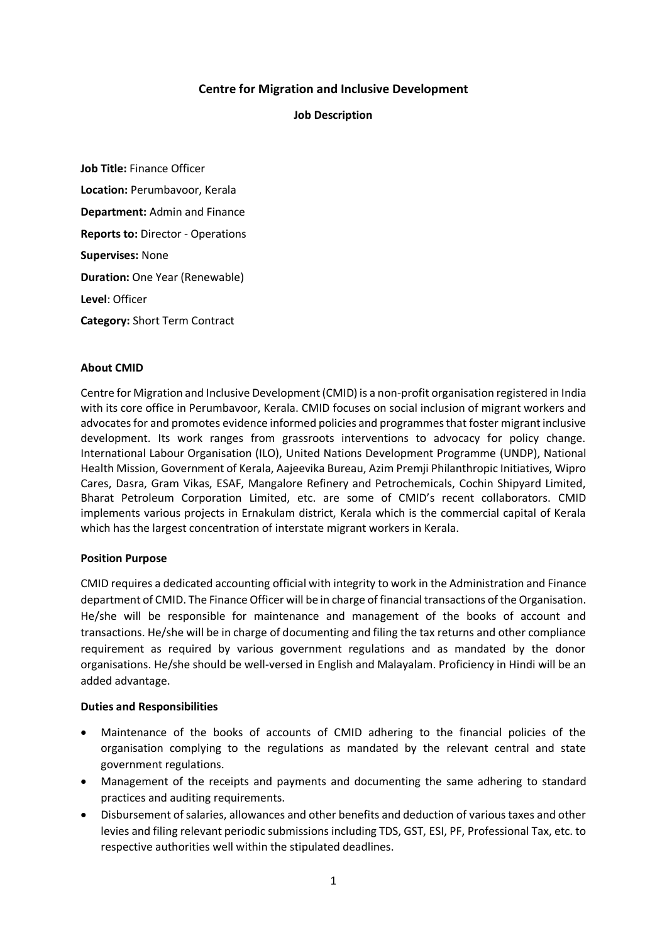# **Centre for Migration and Inclusive Development**

## **Job Description**

**Job Title:** Finance Officer **Location:** Perumbavoor, Kerala **Department:** Admin and Finance **Reports to:** Director - Operations **Supervises:** None **Duration:** One Year (Renewable) **Level**: Officer **Category:** Short Term Contract

### **About CMID**

Centre for Migration and Inclusive Development (CMID) is a non-profit organisation registered in India with its core office in Perumbavoor, Kerala. CMID focuses on social inclusion of migrant workers and advocates for and promotes evidence informed policies and programmes that foster migrant inclusive development. Its work ranges from grassroots interventions to advocacy for policy change. International Labour Organisation (ILO), United Nations Development Programme (UNDP), National Health Mission, Government of Kerala, Aajeevika Bureau, Azim Premji Philanthropic Initiatives, Wipro Cares, Dasra, Gram Vikas, ESAF, Mangalore Refinery and Petrochemicals, Cochin Shipyard Limited, Bharat Petroleum Corporation Limited, etc. are some of CMID's recent collaborators. CMID implements various projects in Ernakulam district, Kerala which is the commercial capital of Kerala which has the largest concentration of interstate migrant workers in Kerala.

#### **Position Purpose**

CMID requires a dedicated accounting official with integrity to work in the Administration and Finance department of CMID. The Finance Officer will be in charge of financial transactions of the Organisation. He/she will be responsible for maintenance and management of the books of account and transactions. He/she will be in charge of documenting and filing the tax returns and other compliance requirement as required by various government regulations and as mandated by the donor organisations. He/she should be well-versed in English and Malayalam. Proficiency in Hindi will be an added advantage.

#### **Duties and Responsibilities**

- Maintenance of the books of accounts of CMID adhering to the financial policies of the organisation complying to the regulations as mandated by the relevant central and state government regulations.
- Management of the receipts and payments and documenting the same adhering to standard practices and auditing requirements.
- Disbursement of salaries, allowances and other benefits and deduction of various taxes and other levies and filing relevant periodic submissions including TDS, GST, ESI, PF, Professional Tax, etc. to respective authorities well within the stipulated deadlines.